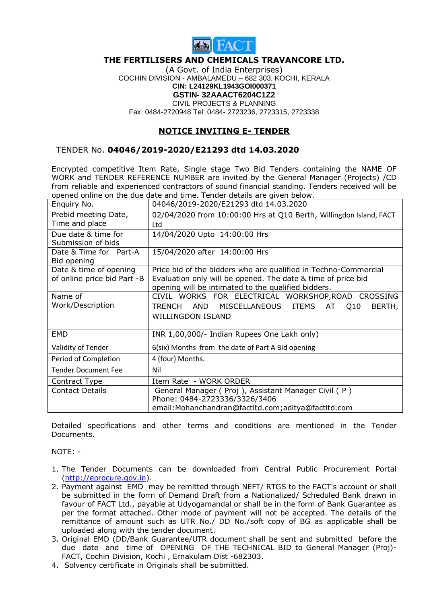

## **THE FERTILISERS AND CHEMICALS TRAVANCORE LTD.**

(A Govt. of India Enterprises) COCHIN DIVISION - AMBALAMEDU – 682 303, KOCHI, KERALA **CIN: L24129KL1943GOI000371 GSTIN- 32AAACT6204C1Z2** CIVIL PROJECTS & PLANNING Fax: 0484-2720948 Tel: 0484- 2723236, 2723315, 2723338

## **NOTICE INVITING E- TENDER**

## TENDER No. **04046/2019-2020/E21293 dtd 14.03.2020**

Encrypted competitive Item Rate, Single stage Two Bid Tenders containing the NAME OF WORK and TENDER REFERENCE NUMBER are invited by the General Manager (Projects) /CD from reliable and experienced contractors of sound financial standing. Tenders received will be opened online on the due date and time. Tender details are given below.

| Enquiry No.                 | 04046/2019-2020/E21293 dtd 14.03.2020                              |
|-----------------------------|--------------------------------------------------------------------|
| Prebid meeting Date,        | 02/04/2020 from 10:00:00 Hrs at Q10 Berth, Willingdon Island, FACT |
| Time and place              | Ltd                                                                |
| Due date & time for         | 14/04/2020 Upto 14:00:00 Hrs                                       |
| Submission of bids          |                                                                    |
| Date & Time for Part-A      | 15/04/2020 after 14:00:00 Hrs                                      |
| Bid opening                 |                                                                    |
| Date & time of opening      | Price bid of the bidders who are qualified in Techno-Commercial    |
| of online price bid Part -B | Evaluation only will be opened. The date & time of price bid       |
|                             | opening will be intimated to the qualified bidders.                |
| Name of                     | CIVIL WORKS FOR ELECTRICAL WORKSHOP, ROAD CROSSING                 |
| Work/Description            | TRENCH AND MISCELLANEOUS ITEMS AT Q10<br>BERTH,                    |
|                             | <b>WILLINGDON ISLAND</b>                                           |
|                             |                                                                    |
| EMD                         | INR 1,00,000/- Indian Rupees One Lakh only)                        |
| Validity of Tender          | 6(six) Months from the date of Part A Bid opening                  |
| Period of Completion        | 4 (four) Months.                                                   |
| <b>Tender Document Fee</b>  | Nil                                                                |
| Contract Type               | Item Rate - WORK ORDER                                             |
| <b>Contact Details</b>      | General Manager (Proj), Assistant Manager Civil (P)                |
|                             | Phone: 0484-2723336/3326/3406                                      |
|                             | email: Mohanchandran@factltd.com; aditya@factltd.com               |

Detailed specifications and other terms and conditions are mentioned in the Tender Documents.

NOTE: -

- 1. The Tender Documents can be downloaded from Central Public Procurement Portal [\(http://eprocure.gov.in\)](http://eprocure.gov.in/).
- 2. Payment against EMD may be remitted through NEFT/ RTGS to the FACT's account or shall be submitted in the form of Demand Draft from a Nationalized/ Scheduled Bank drawn in favour of FACT Ltd., payable at Udyogamandal or shall be in the form of Bank Guarantee as per the format attached. Other mode of payment will not be accepted. The details of the remittance of amount such as UTR No./ DD No./soft copy of BG as applicable shall be uploaded along with the tender document.
- 3. Original EMD (DD/Bank Guarantee/UTR document shall be sent and submitted before the due date and time of OPENING OF THE TECHNICAL BID to General Manager (Proj)- FACT, Cochin Division, Kochi , Ernakulam Dist -682303.
- 4. Solvency certificate in Originals shall be submitted.